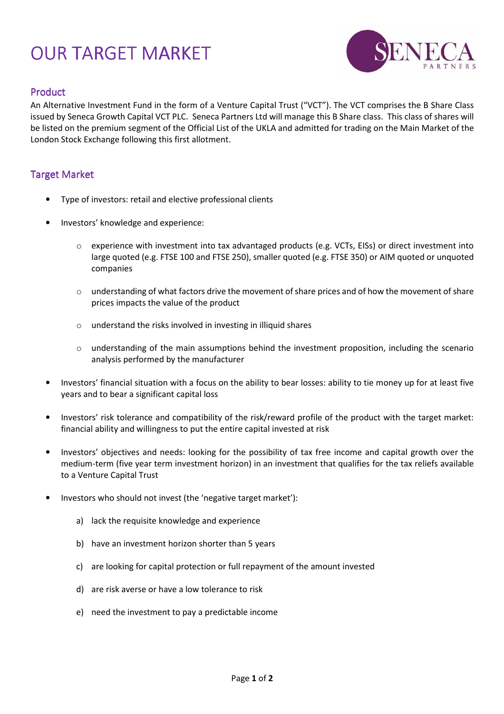## OUR TARGET MARKET



## Product

An Alternative Investment Fund in the form of a Venture Capital Trust ("VCT"). The VCT comprises the B Share Class issued by Seneca Growth Capital VCT PLC. Seneca Partners Ltd will manage this B Share class. This class of shares will be listed on the premium segment of the Official List of the UKLA and admitted for trading on the Main Market of the London Stock Exchange following this first allotment.

## Target Market

- Type of investors: retail and elective professional clients
- Investors' knowledge and experience:
	- $\circ$  experience with investment into tax advantaged products (e.g. VCTs, EISs) or direct investment into large quoted (e.g. FTSE 100 and FTSE 250), smaller quoted (e.g. FTSE 350) or AIM quoted or unquoted companies
	- o understanding of what factors drive the movement of share prices and of how the movement of share prices impacts the value of the product
	- o understand the risks involved in investing in illiquid shares
	- $\circ$  understanding of the main assumptions behind the investment proposition, including the scenario analysis performed by the manufacturer
- Investors' financial situation with a focus on the ability to bear losses: ability to tie money up for at least five years and to bear a significant capital loss
- Investors' risk tolerance and compatibility of the risk/reward profile of the product with the target market: financial ability and willingness to put the entire capital invested at risk
- Investors' objectives and needs: looking for the possibility of tax free income and capital growth over the medium-term (five year term investment horizon) in an investment that qualifies for the tax reliefs available to a Venture Capital Trust
- Investors who should not invest (the 'negative target market'):
	- a) lack the requisite knowledge and experience
	- b) have an investment horizon shorter than 5 years
	- c) are looking for capital protection or full repayment of the amount invested
	- d) are risk averse or have a low tolerance to risk
	- e) need the investment to pay a predictable income